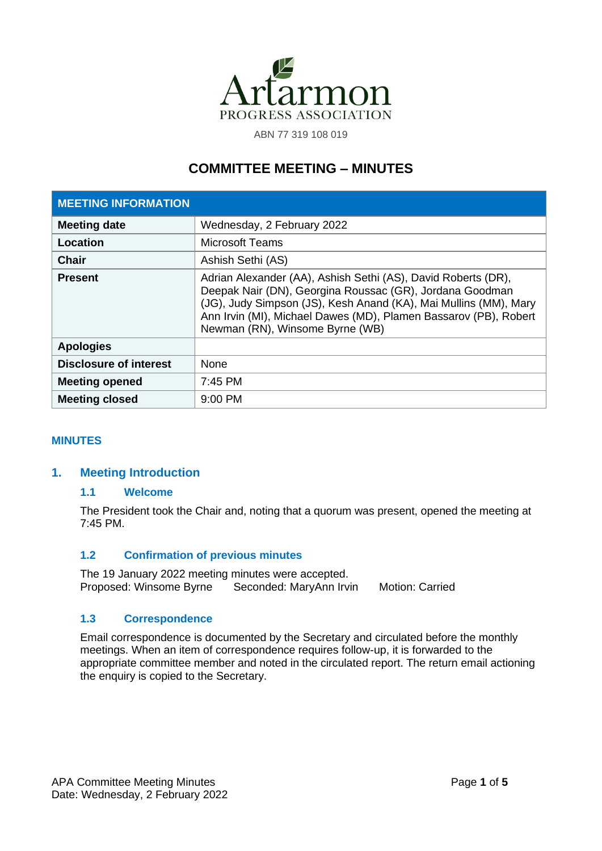

ABN 77 319 108 019

# **COMMITTEE MEETING – MINUTES**

| <b>MEETING INFORMATION</b>    |                                                                                                                                                                                                                                                                                                      |
|-------------------------------|------------------------------------------------------------------------------------------------------------------------------------------------------------------------------------------------------------------------------------------------------------------------------------------------------|
| <b>Meeting date</b>           | Wednesday, 2 February 2022                                                                                                                                                                                                                                                                           |
| Location                      | <b>Microsoft Teams</b>                                                                                                                                                                                                                                                                               |
| <b>Chair</b>                  | Ashish Sethi (AS)                                                                                                                                                                                                                                                                                    |
| <b>Present</b>                | Adrian Alexander (AA), Ashish Sethi (AS), David Roberts (DR),<br>Deepak Nair (DN), Georgina Roussac (GR), Jordana Goodman<br>(JG), Judy Simpson (JS), Kesh Anand (KA), Mai Mullins (MM), Mary<br>Ann Irvin (MI), Michael Dawes (MD), Plamen Bassarov (PB), Robert<br>Newman (RN), Winsome Byrne (WB) |
| <b>Apologies</b>              |                                                                                                                                                                                                                                                                                                      |
| <b>Disclosure of interest</b> | None                                                                                                                                                                                                                                                                                                 |
| <b>Meeting opened</b>         | 7:45 PM                                                                                                                                                                                                                                                                                              |
| <b>Meeting closed</b>         | $9:00$ PM                                                                                                                                                                                                                                                                                            |

## **MINUTES**

# **1. Meeting Introduction**

#### **1.1 Welcome**

The President took the Chair and, noting that a quorum was present, opened the meeting at 7:45 PM.

## **1.2 Confirmation of previous minutes**

The 19 January 2022 meeting minutes were accepted. Proposed: Winsome Byrne Seconded: MaryAnn Irvin Motion: Carried

#### **1.3 Correspondence**

Email correspondence is documented by the Secretary and circulated before the monthly meetings. When an item of correspondence requires follow-up, it is forwarded to the appropriate committee member and noted in the circulated report. The return email actioning the enquiry is copied to the Secretary.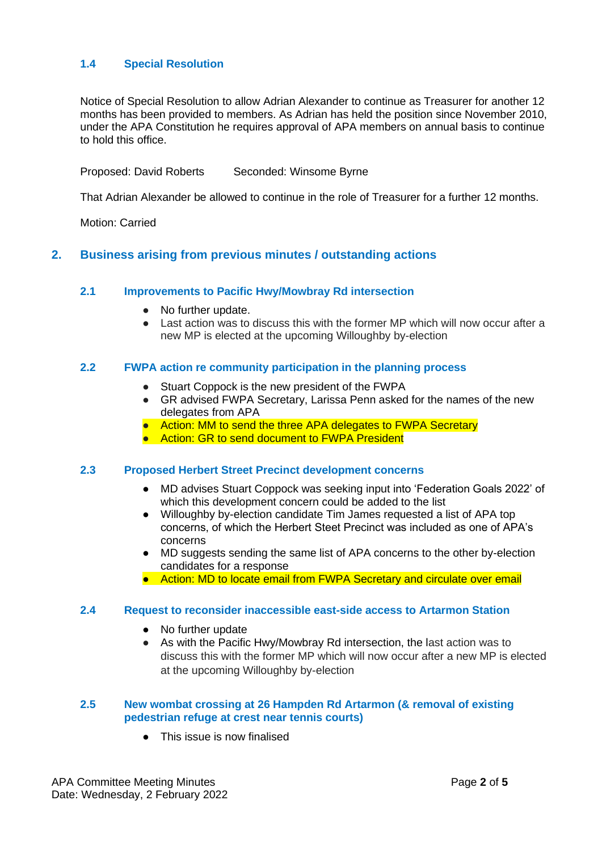# **1.4 Special Resolution**

Notice of Special Resolution to allow Adrian Alexander to continue as Treasurer for another 12 months has been provided to members. As Adrian has held the position since November 2010, under the APA Constitution he requires approval of APA members on annual basis to continue to hold this office.

Proposed: David Roberts Seconded: Winsome Byrne

That Adrian Alexander be allowed to continue in the role of Treasurer for a further 12 months.

Motion: Carried

# **2. Business arising from previous minutes / outstanding actions**

#### **2.1 Improvements to Pacific Hwy/Mowbray Rd intersection**

- No further update.
- Last action was to discuss this with the former MP which will now occur after a new MP is elected at the upcoming Willoughby by-election

#### **2.2 FWPA action re community participation in the planning process**

- Stuart Coppock is the new president of the FWPA
- GR advised FWPA Secretary, Larissa Penn asked for the names of the new delegates from APA
- Action: MM to send the three APA delegates to FWPA Secretary
- Action: GR to send document to FWPA President

#### **2.3 Proposed Herbert Street Precinct development concerns**

- MD advises Stuart Coppock was seeking input into 'Federation Goals 2022' of which this development concern could be added to the list
- Willoughby by-election candidate Tim James requested a list of APA top concerns, of which the Herbert Steet Precinct was included as one of APA's concerns
- MD suggests sending the same list of APA concerns to the other by-election candidates for a response
- Action: MD to locate email from FWPA Secretary and circulate over email

#### **2.4 Request to reconsider inaccessible east-side access to Artarmon Station**

- No further update
- As with the Pacific Hwy/Mowbray Rd intersection, the last action was to discuss this with the former MP which will now occur after a new MP is elected at the upcoming Willoughby by-election

#### **2.5 New wombat crossing at 26 Hampden Rd Artarmon (& removal of existing pedestrian refuge at crest near tennis courts)**

● This issue is now finalised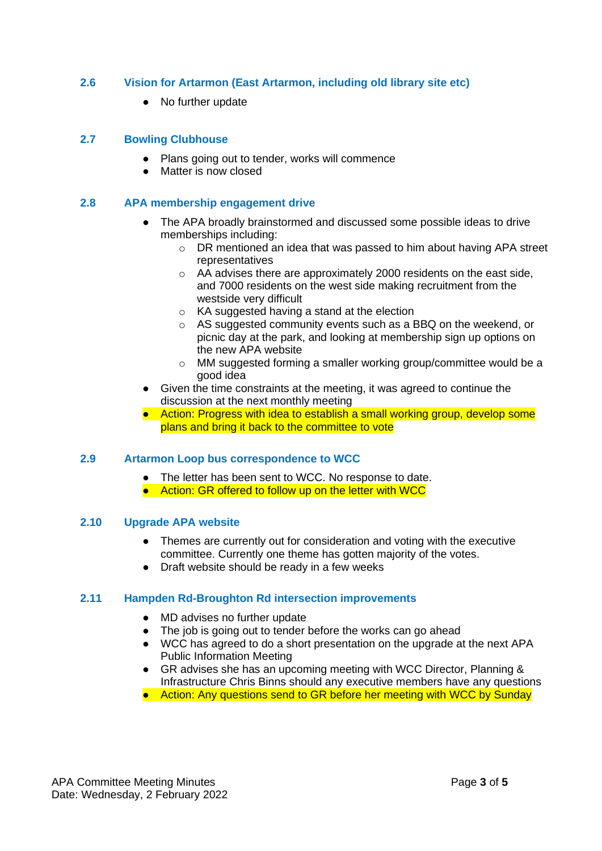# **2.6 Vision for Artarmon (East Artarmon, including old library site etc)**

● No further update

#### **2.7 Bowling Clubhouse**

- Plans going out to tender, works will commence
- Matter is now closed

## **2.8 APA membership engagement drive**

- The APA broadly brainstormed and discussed some possible ideas to drive memberships including:
	- o DR mentioned an idea that was passed to him about having APA street representatives
	- o AA advises there are approximately 2000 residents on the east side, and 7000 residents on the west side making recruitment from the westside very difficult
	- o KA suggested having a stand at the election
	- o AS suggested community events such as a BBQ on the weekend, or picnic day at the park, and looking at membership sign up options on the new APA website
	- o MM suggested forming a smaller working group/committee would be a good idea
- Given the time constraints at the meeting, it was agreed to continue the discussion at the next monthly meeting
- Action: Progress with idea to establish a small working group, develop some plans and bring it back to the committee to vote

## **2.9 Artarmon Loop bus correspondence to WCC**

- The letter has been sent to WCC. No response to date.
- Action: GR offered to follow up on the letter with WCC

## **2.10 Upgrade APA website**

- Themes are currently out for consideration and voting with the executive committee. Currently one theme has gotten majority of the votes.
- Draft website should be ready in a few weeks

## **2.11 Hampden Rd-Broughton Rd intersection improvements**

- MD advises no further update
- The job is going out to tender before the works can go ahead
- WCC has agreed to do a short presentation on the upgrade at the next APA Public Information Meeting
- GR advises she has an upcoming meeting with WCC Director, Planning & Infrastructure Chris Binns should any executive members have any questions
- Action: Any questions send to GR before her meeting with WCC by Sunday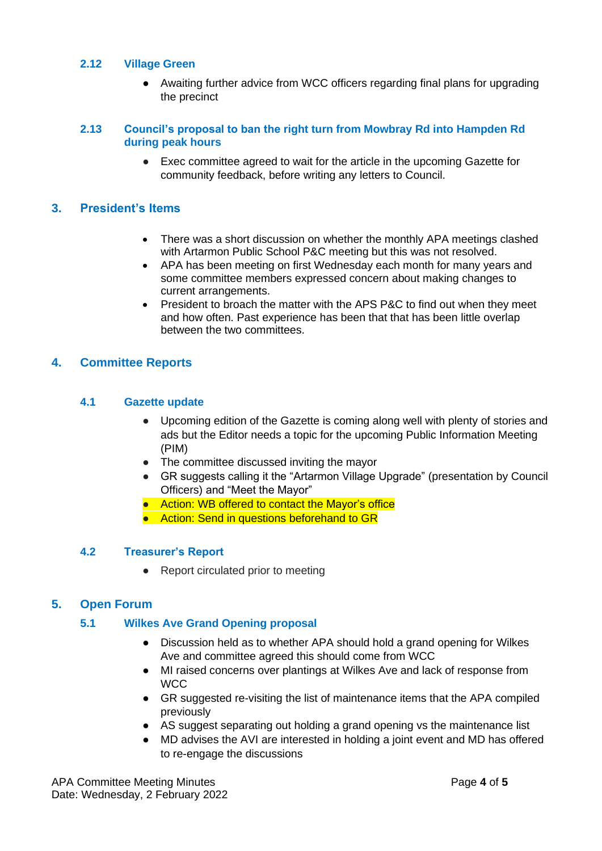## **2.12 Village Green**

● Awaiting further advice from WCC officers regarding final plans for upgrading the precinct

## **2.13 Council's proposal to ban the right turn from Mowbray Rd into Hampden Rd during peak hours**

● Exec committee agreed to wait for the article in the upcoming Gazette for community feedback, before writing any letters to Council.

# **3. President's Items**

- There was a short discussion on whether the monthly APA meetings clashed with Artarmon Public School P&C meeting but this was not resolved.
- APA has been meeting on first Wednesday each month for many years and some committee members expressed concern about making changes to current arrangements.
- President to broach the matter with the APS P&C to find out when they meet and how often. Past experience has been that that has been little overlap between the two committees.

# **4. Committee Reports**

# **4.1 Gazette update**

- Upcoming edition of the Gazette is coming along well with plenty of stories and ads but the Editor needs a topic for the upcoming Public Information Meeting (PIM)
- The committee discussed inviting the mayor
- GR suggests calling it the "Artarmon Village Upgrade" (presentation by Council Officers) and "Meet the Mayor"
- Action: WB offered to contact the Mayor's office
- Action: Send in questions beforehand to GR

## **4.2 Treasurer's Report**

● Report circulated prior to meeting

# **5. Open Forum**

## **5.1 Wilkes Ave Grand Opening proposal**

- Discussion held as to whether APA should hold a grand opening for Wilkes Ave and committee agreed this should come from WCC
- MI raised concerns over plantings at Wilkes Ave and lack of response from WCC
- GR suggested re-visiting the list of maintenance items that the APA compiled previously
- AS suggest separating out holding a grand opening vs the maintenance list
- MD advises the AVI are interested in holding a joint event and MD has offered to re-engage the discussions